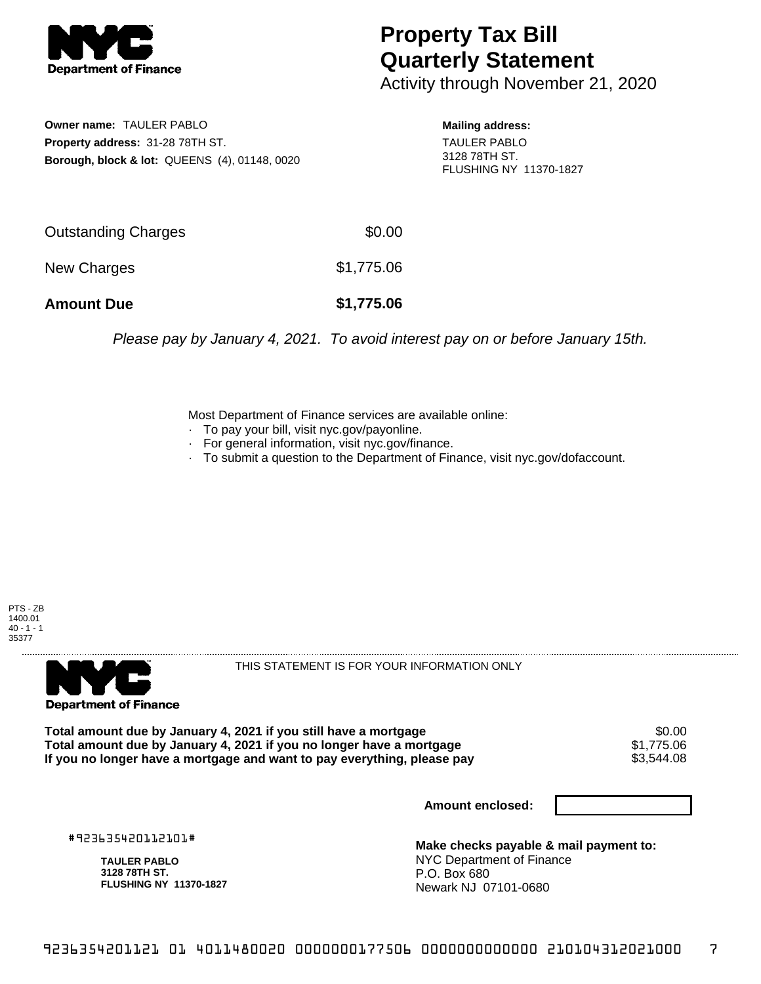

## **Property Tax Bill Quarterly Statement**

Activity through November 21, 2020

**Owner name:** TAULER PABLO **Property address:** 31-28 78TH ST. **Borough, block & lot:** QUEENS (4), 01148, 0020 **Mailing address:** TAULER PABLO 3128 78TH ST. FLUSHING NY 11370-1827

| <b>Amount Due</b>   | \$1,775.06 |
|---------------------|------------|
| New Charges         | \$1,775.06 |
| Outstanding Charges | \$0.00     |

Please pay by January 4, 2021. To avoid interest pay on or before January 15th.

Most Department of Finance services are available online:

- · To pay your bill, visit nyc.gov/payonline.
- For general information, visit nyc.gov/finance.
- · To submit a question to the Department of Finance, visit nyc.gov/dofaccount.





THIS STATEMENT IS FOR YOUR INFORMATION ONLY

Total amount due by January 4, 2021 if you still have a mortgage \$0.00<br>Total amount due by January 4, 2021 if you no longer have a mortgage \$1.775.06 **Total amount due by January 4, 2021 if you no longer have a mortgage**  $$1,775.06$ **<br>If you no longer have a mortgage and want to pay everything, please pay <b>show that the summan set of the s** If you no longer have a mortgage and want to pay everything, please pay

**Amount enclosed:**

#923635420112101#

**TAULER PABLO 3128 78TH ST. FLUSHING NY 11370-1827**

**Make checks payable & mail payment to:** NYC Department of Finance P.O. Box 680 Newark NJ 07101-0680